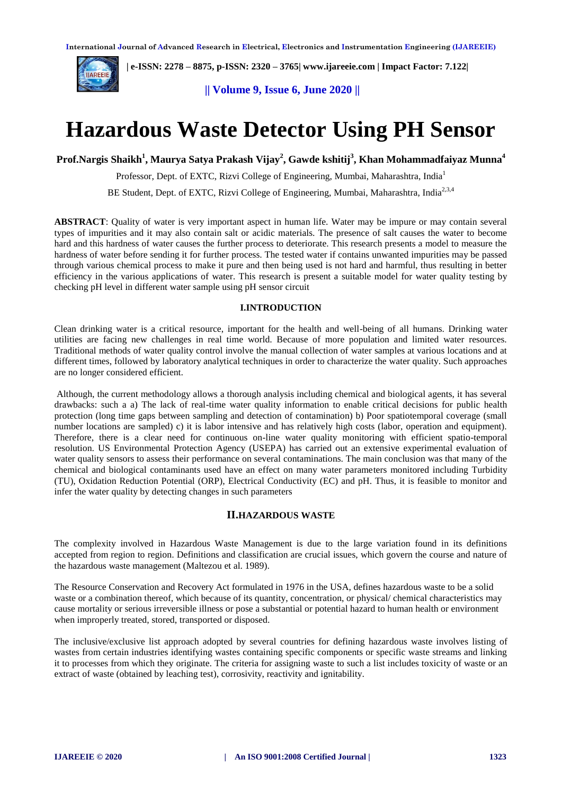

 **| e-ISSN: 2278 – 8875, p-ISSN: 2320 – 3765| [www.ijareeie.com](http://www.ijareeie.com/) | Impact Factor: 7.122|** 

**|| Volume 9, Issue 6, June 2020 ||** 

# **Hazardous Waste Detector Using PH Sensor**

# **Prof.Nargis Shaikh<sup>1</sup> , Maurya Satya Prakash Vijay<sup>2</sup> , Gawde kshitij<sup>3</sup> , Khan Mohammadfaiyaz Munna<sup>4</sup>**

Professor, Dept. of EXTC, Rizvi College of Engineering, Mumbai, Maharashtra, India<sup>1</sup>

BE Student, Dept. of EXTC, Rizvi College of Engineering, Mumbai, Maharashtra, India<sup>2,3,4</sup>

**ABSTRACT**: Quality of water is very important aspect in human life. Water may be impure or may contain several types of impurities and it may also contain salt or acidic materials. The presence of salt causes the water to become hard and this hardness of water causes the further process to deteriorate. This research presents a model to measure the hardness of water before sending it for further process. The tested water if contains unwanted impurities may be passed through various chemical process to make it pure and then being used is not hard and harmful, thus resulting in better efficiency in the various applications of water. This research is present a suitable model for water quality testing by checking pH level in different water sample using pH sensor circuit

#### **I.INTRODUCTION**

Clean drinking water is a critical resource, important for the health and well-being of all humans. Drinking water utilities are facing new challenges in real time world. Because of more population and limited water resources. Traditional methods of water quality control involve the manual collection of water samples at various locations and at different times, followed by laboratory analytical techniques in order to characterize the water quality. Such approaches are no longer considered efficient.

Although, the current methodology allows a thorough analysis including chemical and biological agents, it has several drawbacks: such a a) The lack of real-time water quality information to enable critical decisions for public health protection (long time gaps between sampling and detection of contamination) b) Poor spatiotemporal coverage (small number locations are sampled) c) it is labor intensive and has relatively high costs (labor, operation and equipment). Therefore, there is a clear need for continuous on-line water quality monitoring with efficient spatio-temporal resolution. US Environmental Protection Agency (USEPA) has carried out an extensive experimental evaluation of water quality sensors to assess their performance on several contaminations. The main conclusion was that many of the chemical and biological contaminants used have an effect on many water parameters monitored including Turbidity (TU), Oxidation Reduction Potential (ORP), Electrical Conductivity (EC) and pH. Thus, it is feasible to monitor and infer the water quality by detecting changes in such parameters

## **II.HAZARDOUS WASTE**

The complexity involved in Hazardous Waste Management is due to the large variation found in its definitions accepted from region to region. Definitions and classification are crucial issues, which govern the course and nature of the hazardous waste management (Maltezou et al. 1989).

The Resource Conservation and Recovery Act formulated in 1976 in the USA, defines hazardous waste to be a solid waste or a combination thereof, which because of its quantity, concentration, or physical/ chemical characteristics may cause mortality or serious irreversible illness or pose a substantial or potential hazard to human health or environment when improperly treated, stored, transported or disposed.

The inclusive/exclusive list approach adopted by several countries for defining hazardous waste involves listing of wastes from certain industries identifying wastes containing specific components or specific waste streams and linking it to processes from which they originate. The criteria for assigning waste to such a list includes toxicity of waste or an extract of waste (obtained by leaching test), corrosivity, reactivity and ignitability.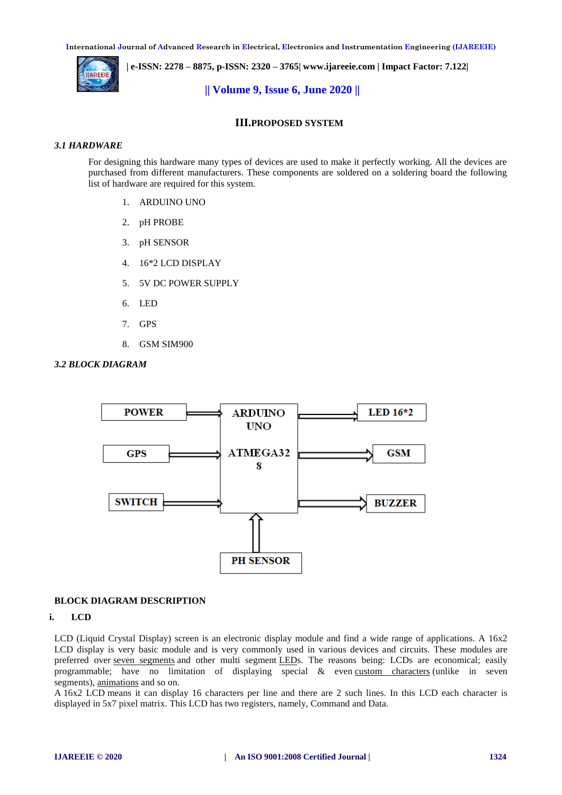**International Journal of Advanced Research in Electrical, Electronics and Instrumentation Engineering (IJAREEIE)** 



 **| e-ISSN: 2278 – 8875, p-ISSN: 2320 – 3765| [www.ijareeie.com](http://www.ijareeie.com/) | Impact Factor: 7.122|** 

### **|| Volume 9, Issue 6, June 2020 ||**

## **III.PROPOSED SYSTEM**

#### *3.1 HARDWARE*

For designing this hardware many types of devices are used to make it perfectly working. All the devices are purchased from different manufacturers. These components are soldered on a soldering board the following list of hardware are required for this system.

- 1. ARDUINO UNO
- 2. pH PROBE
- 3. pH SENSOR
- 4. 16\*2 LCD DISPLAY
- 5. 5V DC POWER SUPPLY
- 6. LED
- 7. GPS
- 8. GSM SIM900





## **BLOCK DIAGRAM DESCRIPTION**

#### **i. LCD**

LCD (Liquid Crystal Display) screen is an electronic display module and find a wide range of applications. A  $16x2$ LCD display is very basic module and is very commonly used in various devices and circuits. These modules are preferred over [seven segments](http://www.engineersgarage.com/content/seven-segment-display) and other multi segment [LEDs](http://www.engineersgarage.com/content/led). The reasons being: LCDs are economical; easily programmable; have no limitation of displaying special & even [custom characters](http://www.engineersgarage.com/microcontroller/8051projects/create-custom-characters-LCD-AT89C51) (unlike in seven segments), [animations](http://www.engineersgarage.com/microcontroller/8051projects/display-custom-animations-LCD-AT89C51) and so on.

A 16x2 LCD means it can display 16 characters per line and there are 2 such lines. In this LCD each character is displayed in 5x7 pixel matrix. This LCD has two registers, namely, Command and Data.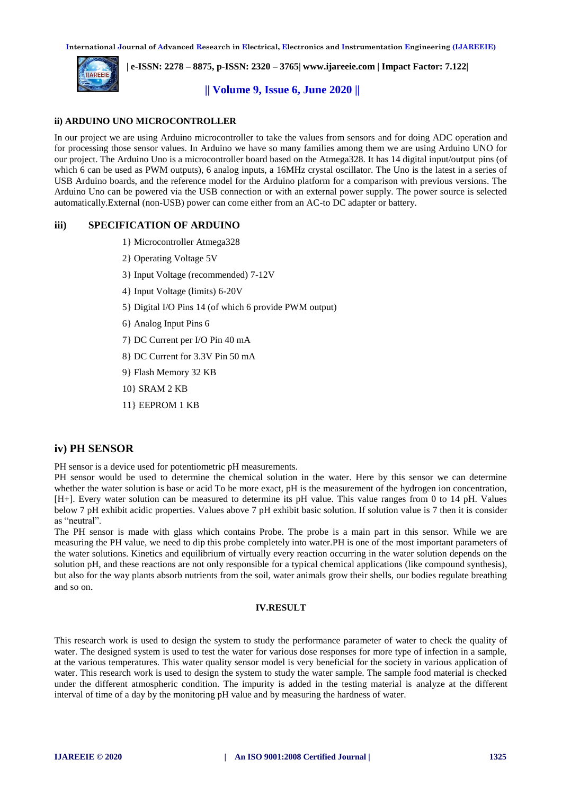**International Journal of Advanced Research in Electrical, Electronics and Instrumentation Engineering (IJAREEIE)** 



 **| e-ISSN: 2278 – 8875, p-ISSN: 2320 – 3765| [www.ijareeie.com](http://www.ijareeie.com/) | Impact Factor: 7.122|** 

## **|| Volume 9, Issue 6, June 2020 ||**

#### **ii) ARDUINO UNO MICROCONTROLLER**

In our project we are using Arduino microcontroller to take the values from sensors and for doing ADC operation and for processing those sensor values. In Arduino we have so many families among them we are using Arduino UNO for our project. The Arduino Uno is a microcontroller board based on the Atmega328. It has 14 digital input/output pins (of which 6 can be used as PWM outputs), 6 analog inputs, a 16MHz crystal oscillator. The Uno is the latest in a series of USB Arduino boards, and the reference model for the Arduino platform for a comparison with previous versions. The Arduino Uno can be powered via the USB connection or with an external power supply. The power source is selected automatically.External (non-USB) power can come either from an AC-to DC adapter or battery.

## **iii) SPECIFICATION OF ARDUINO**

- 1} Microcontroller Atmega328
- 2} Operating Voltage 5V
- 3} Input Voltage (recommended) 7-12V
- 4} Input Voltage (limits) 6-20V
- 5} Digital I/O Pins 14 (of which 6 provide PWM output)
- 6} Analog Input Pins 6
- 7} DC Current per I/O Pin 40 mA
- 8} DC Current for 3.3V Pin 50 mA
- 9} Flash Memory 32 KB
- 10} SRAM 2 KB
- 11} EEPROM 1 KB

## **iv) PH SENSOR**

PH sensor is a device used for potentiometric pH measurements.

PH sensor would be used to determine the chemical solution in the water. Here by this sensor we can determine whether the water solution is base or acid To be more exact, pH is the measurement of the hydrogen ion concentration, [H+]. Every water solution can be measured to determine its pH value. This value ranges from 0 to 14 pH. Values below 7 pH exhibit acidic properties. Values above 7 pH exhibit basic solution. If solution value is 7 then it is consider as "neutral".

The PH sensor is made with glass which contains Probe. The probe is a main part in this sensor. While we are measuring the PH value, we need to dip this probe completely into water.PH is one of the most important parameters of the water solutions. Kinetics and equilibrium of virtually every reaction occurring in the water solution depends on the solution pH, and these reactions are not only responsible for a typical chemical applications (like compound synthesis), but also for the way plants absorb nutrients from the soil, water animals grow their shells, our bodies regulate breathing and so on.

#### **IV.RESULT**

This research work is used to design the system to study the performance parameter of water to check the quality of water. The designed system is used to test the water for various dose responses for more type of infection in a sample, at the various temperatures. This water quality sensor model is very beneficial for the society in various application of water. This research work is used to design the system to study the water sample. The sample food material is checked under the different atmospheric condition. The impurity is added in the testing material is analyze at the different interval of time of a day by the monitoring pH value and by measuring the hardness of water.